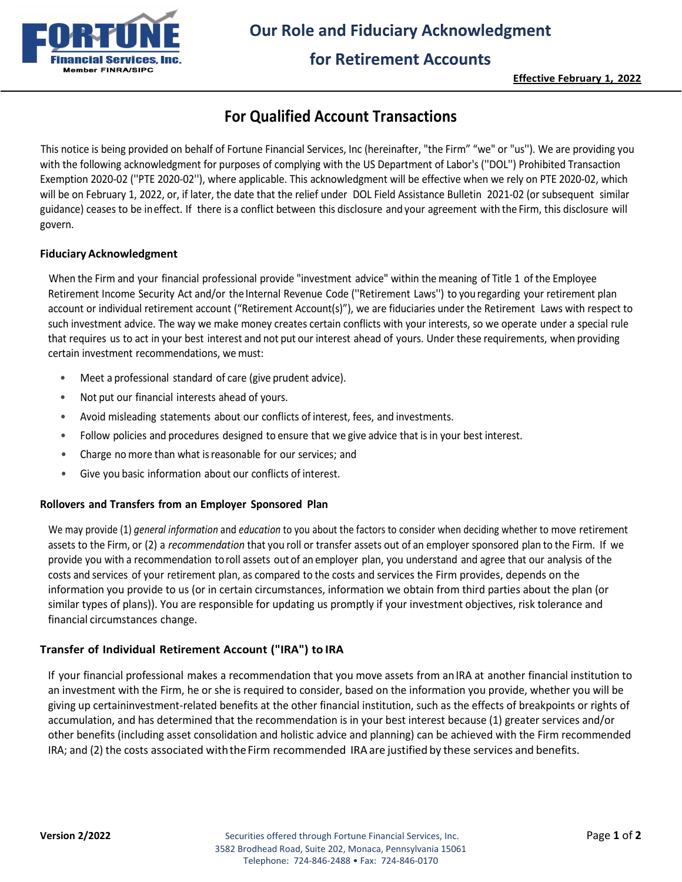

# **Our Role and Fiduciary Acknowledgment**

### **for Retirement Accounts**

**Effective February 1, 2022**

# **For Qualified Account Transactions**

This notice is being provided on behalf of Fortune Financial Services, Inc (hereinafter, "the Firm" "we" or "us''). We are providing you with the following acknowledgment for purposes of complying with the US Department of Labor's (''DOL'') Prohibited Transaction Exemption 2020-02 (''PTE 2020-02''), where applicable. This acknowledgment will be effective when we rely on PTE 2020-02, which will be on February 1, 2022, or, if later, the date that the relief under DOL Field Assistance Bulletin 2021-02 (or subsequent similar guidance) ceases to be ineffect. If there is a conflict between this disclosure and your agreement with the Firm, this disclosure will govern.

#### **Fiduciary Acknowledgment**

When the Firm and your financial professional provide "investment advice" within the meaning of Title 1 of the Employee Retirement Income Security Act and/or the Internal Revenue Code (''Retirement Laws'') to you regarding your retirement plan account or individual retirement account ("Retirement Account(s)"), we are fiduciaries under the Retirement Laws with respect to such investment advice. The way we make money creates certain conflicts with your interests, so we operate under a special rule that requires us to act in your best interest and not put our interest ahead of yours. Under these requirements, when providing certain investment recommendations, we must:

- Meet a professional standard of care (give prudent advice).
- Not put our financial interests ahead of yours.
- Avoid misleading statements about our conflicts of interest, fees, and investments.
- Follow policies and procedures designed to ensure that we give advice that is in your best interest.
- Charge no more than what isreasonable for our services; and
- Give you basic information about our conflicts of interest.

#### **Rollovers and Transfers from an Employer Sponsored Plan**

We may provide (1) *general information* and *education* to you about the factors to consider when deciding whether to move retirement assets to the Firm, or (2) a *recommendation* that you roll or transfer assets out of an employer sponsored plan to the Firm. If we provide you with a recommendation toroll assets out of an employer plan, you understand and agree that our analysis of the costs and services of your retirement plan, as compared to the costs and services the Firm provides, depends on the information you provide to us (or in certain circumstances, information we obtain from third parties about the plan (or similar types of plans)). You are responsible for updating us promptly if your investment objectives, risk tolerance and financial circumstances change.

#### **Transfer of Individual Retirement Account ("IRA") to IRA**

If your financial professional makes a recommendation that you move assets from anIRA at another financial institution to an investment with the Firm, he or she is required to consider, based on the information you provide, whether you will be giving up certaininvestment-related benefits at the other financial institution, such as the effects of breakpoints or rights of accumulation, and has determined that the recommendation is in your best interest because (1) greater services and/or other benefits (including asset consolidation and holistic advice and planning) can be achieved with the Firm recommended IRA; and (2) the costs associated with the Firm recommended IRA are justified by these services and benefits.